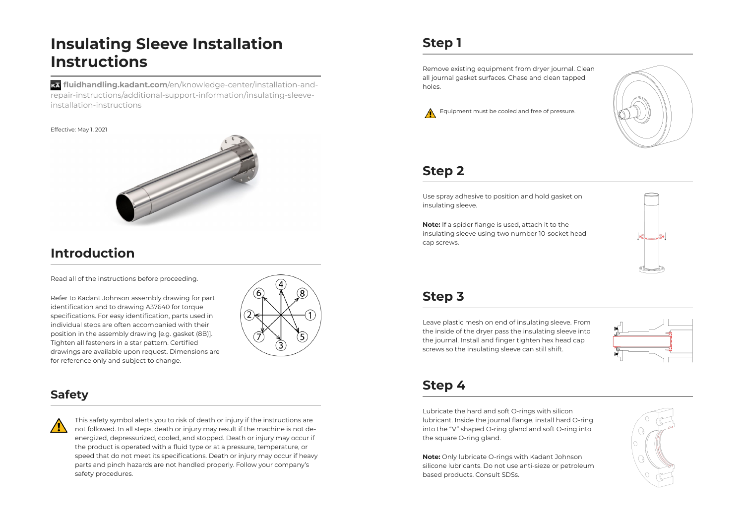# **Insulating Sleeve Installation Instructions filled fluidhandling Sleeve Installation<br><b>filled fluidhandling.kadant.com/**en/knowledge-center/installation-and-

repair-instructions/additional-support-information/insulating-sleeveinstallation-instructions

#### Effective: May 1, 2021



## **Introduction**

Read all of the instructions before proceeding.

Refer to Kadant Johnson assembly drawing for part **introduction**<br>
Read all of the instructions before proceeding.<br>
Refer to Kadant Johnson assembly drawing for p<br>
identification and to drawing A37640 for torque **Introduction**<br>Read all of the instructions before proceeding.<br>Refer to Kadant Johnson assembly drawing for part<br>identification, and to drawing A37640 for torque<br>specifications. For easy identification, parts used in individual steps are often accompanied with their position in the assembly drawing [e.g. gasket (8B)]. Read all of the instructions before proceeding.<br>
Refer to Kadant Johnson assembly drawing for part<br>
identification and to drawing A37640 for torque<br>
specifications. For easy identification, parts used in<br>
individual steps drawings are available upon request. Dimensions are for reference only and subject to change.



#### **Safety**



This safety symbol alerts you to risk of death or injury if the instructions are<br>not followed. In all steps, death or injury may result if the machine is not de<br>energized, depressurized, cooled, and stopped. Death or injur not followed. In all steps, death or injury may result if the machine is not deenergized, depressurized, cooled, and stopped. Death or injury may occur if the product is operated with a fluid type or at a pressure, temperature, or speed that do not meet its specifications. Death or injury may occur if heavy parts and pinch hazards are not handled properly. Follow your company's safety procedures.

# **Step 1**

Remove existing equipment from dryer journal. Clean all journal gasket surfaces. Chase and clean tapped holes.





#### **Step 2**

Use spray adhesive to position and hold gasket on insulating sleeve.

insulating sleeve using two number 10-socket head cap screws.



## **Step 3**

Leave plastic mesh on end of insulating sleeve. From the inside of the dryer pass the insulating sleeve into screws so the insulating sleeve can still shift.



## **Step 4**

Lubricate the hard and soft O-rings with silicon **Step 4**<br>Lubricate the hard and soft O-rings with silicon<br>Lubricant. Inside the journal flange, install hard O-ring into the "V" shaped O-ring gland and soft O-ring into the square O-ring gland.

> **Note:** Only lubricate O-rings with Kadant Johnson silicone lubricants. Do not use anti-sieze or petroleum based products. Consult SDSs.